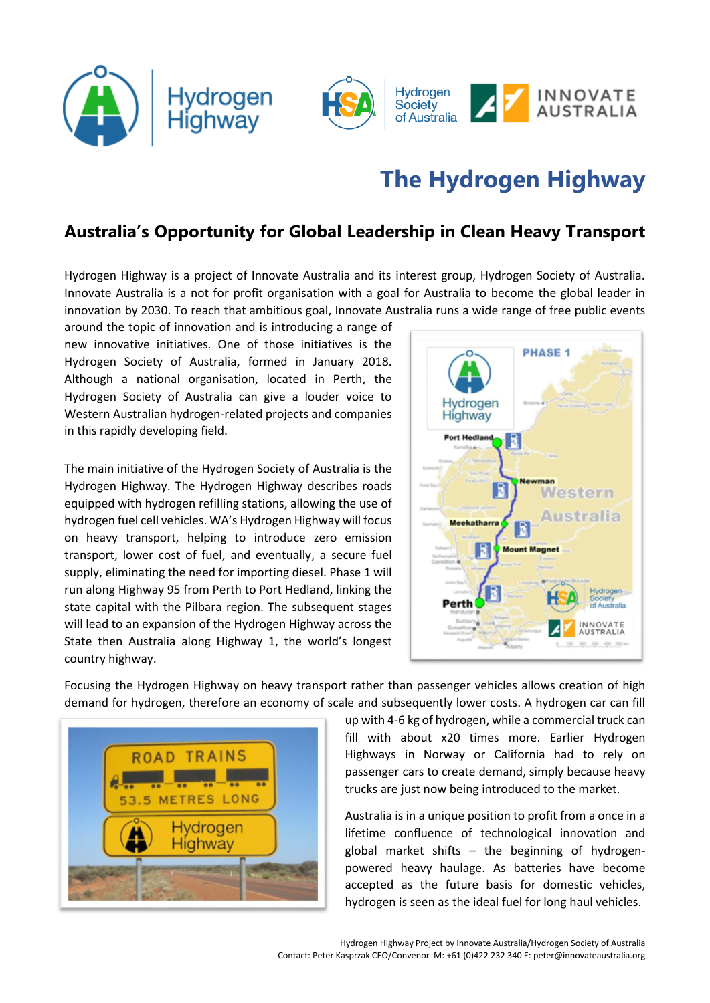



## **The Hydrogen Highway**

## **Australia's Opportunity for Global Leadership in Clean Heavy Transport**

Hydrogen Highway is a project of Innovate Australia and its interest group, Hydrogen Society of Australia. Innovate Australia is a not for profit organisation with a goal for Australia to become the global leader in innovation by 2030. To reach that ambitious goal, Innovate Australia runs a wide range of free public events

around the topic of innovation and is introducing a range of new innovative initiatives. One of those initiatives is the Hydrogen Society of Australia, formed in January 2018. Although a national organisation, located in Perth, the Hydrogen Society of Australia can give a louder voice to Western Australian hydrogen-related projects and companies in this rapidly developing field.

The main initiative of the Hydrogen Society of Australia is the Hydrogen Highway. The Hydrogen Highway describes roads equipped with hydrogen refilling stations, allowing the use of hydrogen fuel cell vehicles. WA's Hydrogen Highway will focus on heavy transport, helping to introduce zero emission transport, lower cost of fuel, and eventually, a secure fuel supply, eliminating the need for importing diesel. Phase 1 will run along Highway 95 from Perth to Port Hedland, linking the state capital with the Pilbara region. The subsequent stages will lead to an expansion of the Hydrogen Highway across the State then Australia along Highway 1, the world's longest country highway.



Focusing the Hydrogen Highway on heavy transport rather than passenger vehicles allows creation of high demand for hydrogen, therefore an economy of scale and subsequently lower costs. A hydrogen car can fill



up with 4-6 kg of hydrogen, while a commercial truck can fill with about x20 times more. Earlier Hydrogen Highways in Norway or California had to rely on passenger cars to create demand, simply because heavy trucks are just now being introduced to the market.

Australia is in a unique position to profit from a once in a lifetime confluence of technological innovation and global market shifts – the beginning of hydrogenpowered heavy haulage. As batteries have become accepted as the future basis for domestic vehicles, hydrogen is seen as the ideal fuel for long haul vehicles.